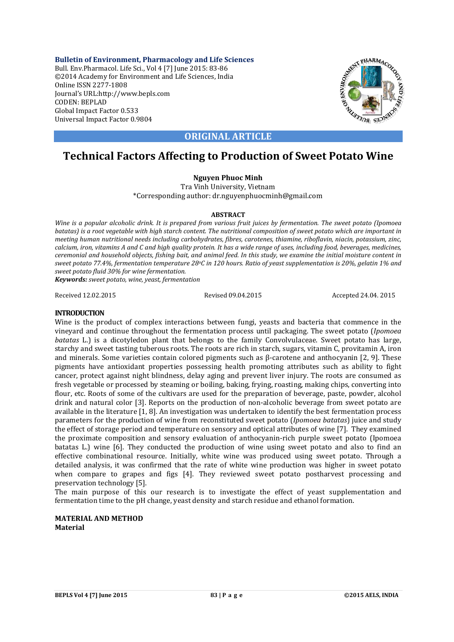**Bulletin of Environment, Pharmacology and Life Sciences** Bull. Env.Pharmacol. Life Sci., Vol 4 [7] June 2015: 83-86 ©2014 Academy for Environment and Life Sciences, India Online ISSN 2277-1808 Journal's URL:http://www.bepls.com CODEN: BEPLAD Global Impact Factor 0.533 Universal Impact Factor 0.9804



# **ORIGINAL ARTICLE**

# **Technical Factors Affecting to Production of Sweet Potato Wine**

## **Nguyen Phuoc Minh**

Tra Vinh University, Vietnam \*Corresponding author: dr.nguyenphuocminh@gmail.com

#### **ABSTRACT**

*Wine is a popular alcoholic drink. It is prepared from various fruit juices by fermentation. The sweet potato (Ipomoea batatas) is a root vegetable with high starch content. The nutritional composition of sweet potato which are important in meeting human nutritional needs including carbohydrates, fibres, carotenes, thiamine, riboflavin, niacin, potassium, zinc, calcium, iron, vitamins A and C and high quality protein. It has a wide range of uses, including food, beverages, medicines, ceremonial and household objects, fishing bait, and animal feed. In this study, we examine the initial moisture content in sweet potato 77.4%, fermentation temperature 28oC in 120 hours. Ratio of yeast supplementation is 20%, gelatin 1% and sweet potato fluid 30% for wine fermentation. Keywords: sweet potato, wine, yeast, fermentation*

Received 12.02.2015 Revised 09.04.2015 Accepted 24.04. 2015

## **INTRODUCTION**

Wine is the product of complex interactions between fungi, yeasts and bacteria that commence in the vineyard and continue throughout the fermentation process until packaging. The sweet potato (*Ipomoea batatas* L.) is a dicotyledon plant that belongs to the family Convolvulaceae. Sweet potato has large, starchy and sweet tasting tuberous roots. The roots are rich in starch, sugars, vitamin C, provitamin A, iron and minerals. Some varieties contain colored pigments such as β-carotene and anthocyanin [2, 9]. These pigments have antioxidant properties possessing health promoting attributes such as ability to fight cancer, protect against night blindness, delay aging and prevent liver injury. The roots are consumed as fresh vegetable or processed by steaming or boiling, baking, frying, roasting, making chips, converting into flour, etc. Roots of some of the cultivars are used for the preparation of beverage, paste, powder, alcohol drink and natural color [3]. Reports on the production of non-alcoholic beverage from sweet potato are available in the literature [1, 8]. An investigation was undertaken to identify the best fermentation process parameters for the production of wine from reconstituted sweet potato (*Ipomoea batatas*) juice and study the effect of storage period and temperature on sensory and optical attributes of wine [7]. They examined the proximate composition and sensory evaluation of anthocyanin-rich purple sweet potato (Ipomoea batatas L.) wine [6]. They conducted the production of wine using sweet potato and also to find an effective combinational resource. Initially, white wine was produced using sweet potato. Through a detailed analysis, it was confirmed that the rate of white wine production was higher in sweet potato when compare to grapes and figs [4]. They reviewed sweet potato postharvest processing and preservation technology [5].

The main purpose of this our research is to investigate the effect of yeast supplementation and fermentation time to the pH change, yeast density and starch residue and ethanol formation.

#### **MATERIAL AND METHOD Material**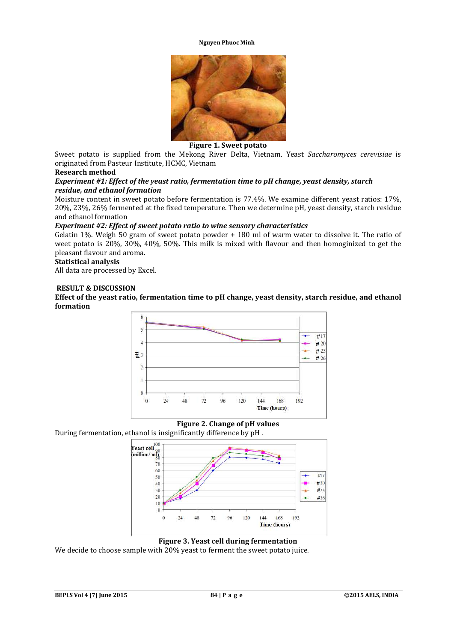#### **Nguyen Phuoc Minh**



#### **Figure 1. Sweet potato**

Sweet potato is supplied from the Mekong River Delta, Vietnam. Yeast *Saccharomyces cerevisiae* is originated from Pasteur Institute, HCMC, Vietnam

#### **Research method**

## *Experiment #1: Effect of the yeast ratio, fermentation time to pH change, yeast density, starch residue, and ethanol formation*

Moisture content in sweet potato before fermentation is 77.4%. We examine different yeast ratios: 17%, 20%, 23%, 26% fermented at the fixed temperature. Then we determine pH, yeast density, starch residue and ethanol formation

#### *Experiment #2: Effect of sweet potato ratio to wine sensory characteristics*

Gelatin 1%. Weigh 50 gram of sweet potato powder + 180 ml of warm water to dissolve it. The ratio of weet potato is 20%, 30%, 40%, 50%. This milk is mixed with flavour and then homoginized to get the pleasant flavour and aroma.

#### **Statistical analysis**

All data are processed by Excel.

#### **RESULT & DISCUSSION**

**Effect of the yeast ratio, fermentation time to pH change, yeast density, starch residue, and ethanol formation**





During fermentation, ethanol is insignificantly difference by pH .



**Figure 3. Yeast cell during fermentation**

We decide to choose sample with 20% yeast to ferment the sweet potato juice.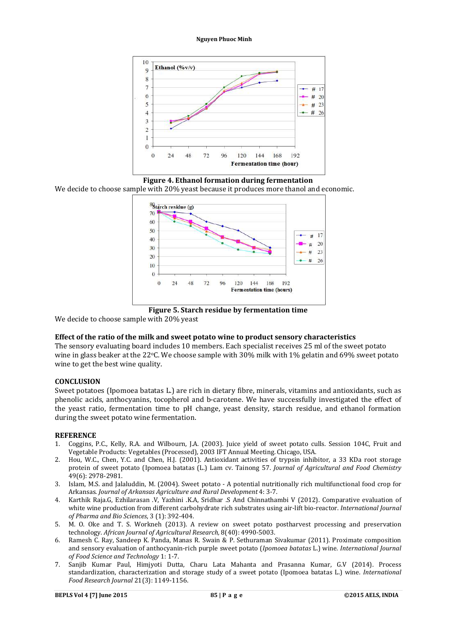#### **Nguyen Phuoc Minh**



**Figure 4. Ethanol formation during fermentation**

We decide to choose sample with 20% yeast because it produces more thanol and economic.



**Figure 5. Starch residue by fermentation time**

We decide to choose sample with 20% yeast

#### **Effect of the ratio of the milk and sweet potato wine to product sensory characteristics**

The sensory evaluating board includes 10 members. Each specialist receives 25 ml of the sweet potato wine in glass beaker at the 22°C. We choose sample with 30% milk with 1% gelatin and 69% sweet potato wine to get the best wine quality.

#### **CONCLUSION**

Sweet potatoes (Ipomoea batatas L.) are rich in dietary fibre, minerals, vitamins and antioxidants, such as phenolic acids, anthocyanins, tocopherol and b-carotene. We have successfully investigated the effect of the yeast ratio, fermentation time to pH change, yeast density, starch residue, and ethanol formation during the sweet potato wine fermentation.

#### **REFERENCE**

- 1. Coggins, P.C., Kelly, R.A. and Wilbourn, J.A. (2003). Juice yield of sweet potato culls. Session 104C, Fruit and Vegetable Products: Vegetables (Processed), 2003 IFT Annual Meeting. Chicago, USA.
- 2. Hou, W.C., Chen, Y.C. and Chen, H.J. (2001). Antioxidant activities of trypsin inhibitor, a 33 KDa root storage protein of sweet potato (Ipomoea batatas (L.) Lam cv. Tainong 57. *Journal of Agricultural and Food Chemistry* 49(6): 2978-2981.
- 3. Islam, M.S. and Jalaluddin, M. (2004). Sweet potato A potential nutritionally rich multifunctional food crop for Arkansas. *Journal of Arkansas Agriculture and Rural Development* 4: 3-7.
- 4. Karthik Raja.G, Ezhilarasan .V, Yazhini .K.A, Sridhar .S And Chinnathambi V (2012). Comparative evaluation of white wine production from different carbohydrate rich substrates using air-lift bio-reactor. *International Journal of Pharma and Bio Sciences*, 3 (1): 392-404.
- 5. M. O. Oke and T. S. Workneh (2013). A review on sweet potato postharvest processing and preservation technology. *African Journal of Agricultural Research,* 8(40): 4990-5003.
- 6. Ramesh C. Ray, Sandeep K. Panda, Manas R. Swain & P. Sethuraman Sivakumar (2011). Proximate composition and sensory evaluation of anthocyanin-rich purple sweet potato (*Ipomoea batatas* L.) wine*. International Journal of Food Science and Technology* 1: 1-7.
- 7. Sanjib Kumar Paul, Himjyoti Dutta, Charu Lata Mahanta and Prasanna Kumar, G.V (2014). Process standardization, characterization and storage study of a sweet potato (Ipomoea batatas L.) wine. *International Food Research Journal* 21(3): 1149-1156.